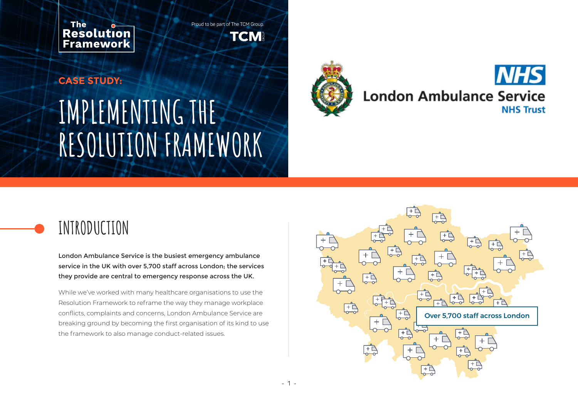**The** Resolution **Framework** 

Proud to be part of The TCM Group. TCM

# **IMPLEMENTING THE RESOLUTION FRAMEWORK CASE STUDY:**



#### **NHS London Ambulance Service NHS Trust**

## **INTRODUCTION**

London Ambulance Service is the busiest emergency ambulance service in the UK with over 5,700 staff across London; the services they provide are central to emergency response across the UK.

While we've worked with many healthcare organisations to use the Resolution Framework to reframe the way they manage workplace conflicts, complaints and concerns, London Ambulance Service are breaking ground by becoming the first organisation of its kind to use the framework to also manage conduct-related issues.

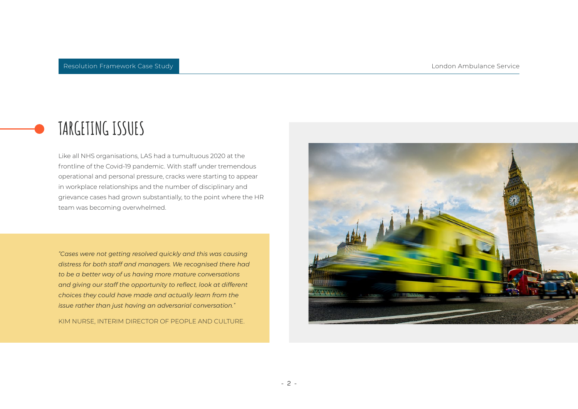### **TARGETING ISSUES**

Like all NHS organisations, LAS had a tumultuous 2020 at the frontline of the Covid-19 pandemic. With staff under tremendous operational and personal pressure, cracks were starting to appear in workplace relationships and the number of disciplinary and grievance cases had grown substantially, to the point where the HR team was becoming overwhelmed.

*"Cases were not getting resolved quickly and this was causing distress for both staff and managers. We recognised there had to be a better way of us having more mature conversations and giving our staff the opportunity to reflect, look at different choices they could have made and actually learn from the issue rather than just having an adversarial conversation."*

KIM NURSE, INTERIM DIRECTOR OF PEOPLE AND CULTURE.

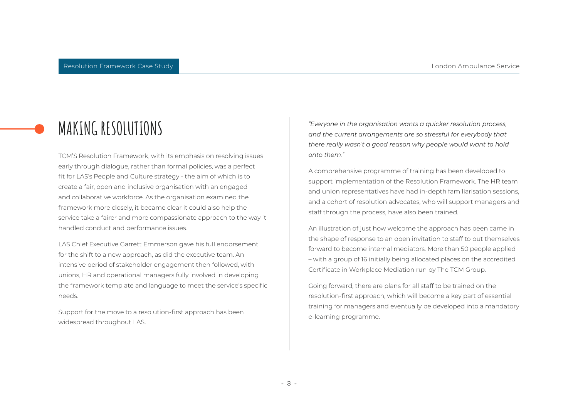TCM'S Resolution Framework, with its emphasis on resolving issues early through dialogue, rather than formal policies, was a perfect fit for LAS's People and Culture strategy - the aim of which is to create a fair, open and inclusive organisation with an engaged and collaborative workforce. As the organisation examined the framework more closely, it became clear it could also help the service take a fairer and more compassionate approach to the way it handled conduct and performance issues.

LAS Chief Executive Garrett Emmerson gave his full endorsement for the shift to a new approach, as did the executive team. An intensive period of stakeholder engagement then followed, with unions, HR and operational managers fully involved in developing the framework template and language to meet the service's specific needs.

Support for the move to a resolution-first approach has been widespread throughout LAS.

**MAKING RESOLUTIONS** *"Everyone in the organisation wants a quicker resolution process, and the current arrangements are so stressful for everybody that there really wasn't a good reason why people would want to hold onto them."*

> A comprehensive programme of training has been developed to support implementation of the Resolution Framework. The HR team and union representatives have had in-depth familiarisation sessions, and a cohort of resolution advocates, who will support managers and staff through the process, have also been trained.

> An illustration of just how welcome the approach has been came in the shape of response to an open invitation to staff to put themselves forward to become internal mediators. More than 50 people applied – with a group of 16 initially being allocated places on the accredited Certificate in Workplace Mediation run by The TCM Group.

> Going forward, there are plans for all staff to be trained on the resolution-first approach, which will become a key part of essential training for managers and eventually be developed into a mandatory e-learning programme.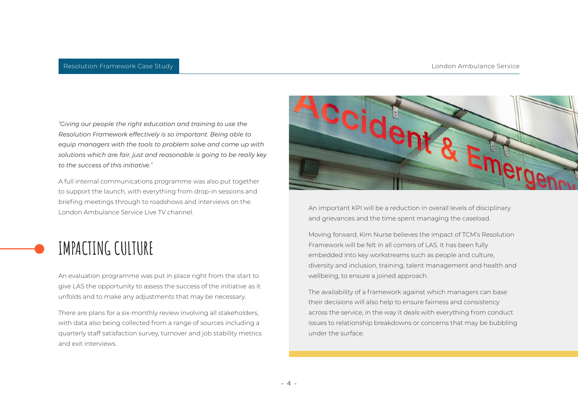*"Giving our people the right education and training to use the Resolution Framework effectively is so important. Being able to equip managers with the tools to problem solve and come up with solutions which are fair, just and reasonable is going to be really key to the success of this initiative."*

A full internal communications programme was also put together to support the launch, with everything from drop-in sessions and briefing meetings through to roadshows and interviews on the London Ambulance Service Live TV channel.



An evaluation programme was put in place right from the start to give LAS the opportunity to assess the success of the initiative as it unfolds and to make any adjustments that may be necessary.

There are plans for a six-monthly review involving all stakeholders, with data also being collected from a range of sources including a quarterly staff satisfaction survey, turnover and job stability metrics and exit interviews.



An important KPI will be a reduction in overall levels of disciplinary and grievances and the time spent managing the caseload.

Moving forward, Kim Nurse believes the impact of TCM's Resolution Framework will be felt in all corners of LAS. It has been fully embedded into key workstreams such as people and culture, diversity and inclusion, training, talent management and health and wellbeing, to ensure a joined approach.

The availability of a framework against which managers can base their decisions will also help to ensure fairness and consistency across the service, in the way it deals with everything from conduct issues to relationship breakdowns or concerns that may be bubbling under the surface.